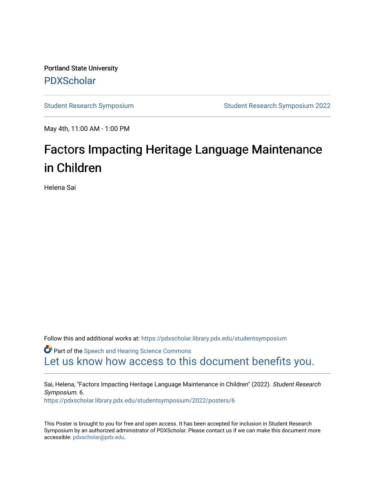Portland State University [PDXScholar](https://pdxscholar.library.pdx.edu/)

[Student Research Symposium](https://pdxscholar.library.pdx.edu/studentsymposium) [Student Research Symposium 2022](https://pdxscholar.library.pdx.edu/studentsymposium/2022) 

May 4th, 11:00 AM - 1:00 PM

#### Factors Impacting Heritage Language Maintenance in Children

Helena Sai

Follow this and additional works at: [https://pdxscholar.library.pdx.edu/studentsymposium](https://pdxscholar.library.pdx.edu/studentsymposium?utm_source=pdxscholar.library.pdx.edu%2Fstudentsymposium%2F2022%2Fposters%2F6&utm_medium=PDF&utm_campaign=PDFCoverPages) 

**C** Part of the [Speech and Hearing Science Commons](http://network.bepress.com/hgg/discipline/1033?utm_source=pdxscholar.library.pdx.edu%2Fstudentsymposium%2F2022%2Fposters%2F6&utm_medium=PDF&utm_campaign=PDFCoverPages) [Let us know how access to this document benefits you.](http://library.pdx.edu/services/pdxscholar-services/pdxscholar-feedback/) 

Sai, Helena, "Factors Impacting Heritage Language Maintenance in Children" (2022). Student Research Symposium. 6. [https://pdxscholar.library.pdx.edu/studentsymposium/2022/posters/6](https://pdxscholar.library.pdx.edu/studentsymposium/2022/posters/6?utm_source=pdxscholar.library.pdx.edu%2Fstudentsymposium%2F2022%2Fposters%2F6&utm_medium=PDF&utm_campaign=PDFCoverPages) 

This Poster is brought to you for free and open access. It has been accepted for inclusion in Student Research Symposium by an authorized administrator of PDXScholar. Please contact us if we can make this document more accessible: [pdxscholar@pdx.edu.](mailto:pdxscholar@pdx.edu)